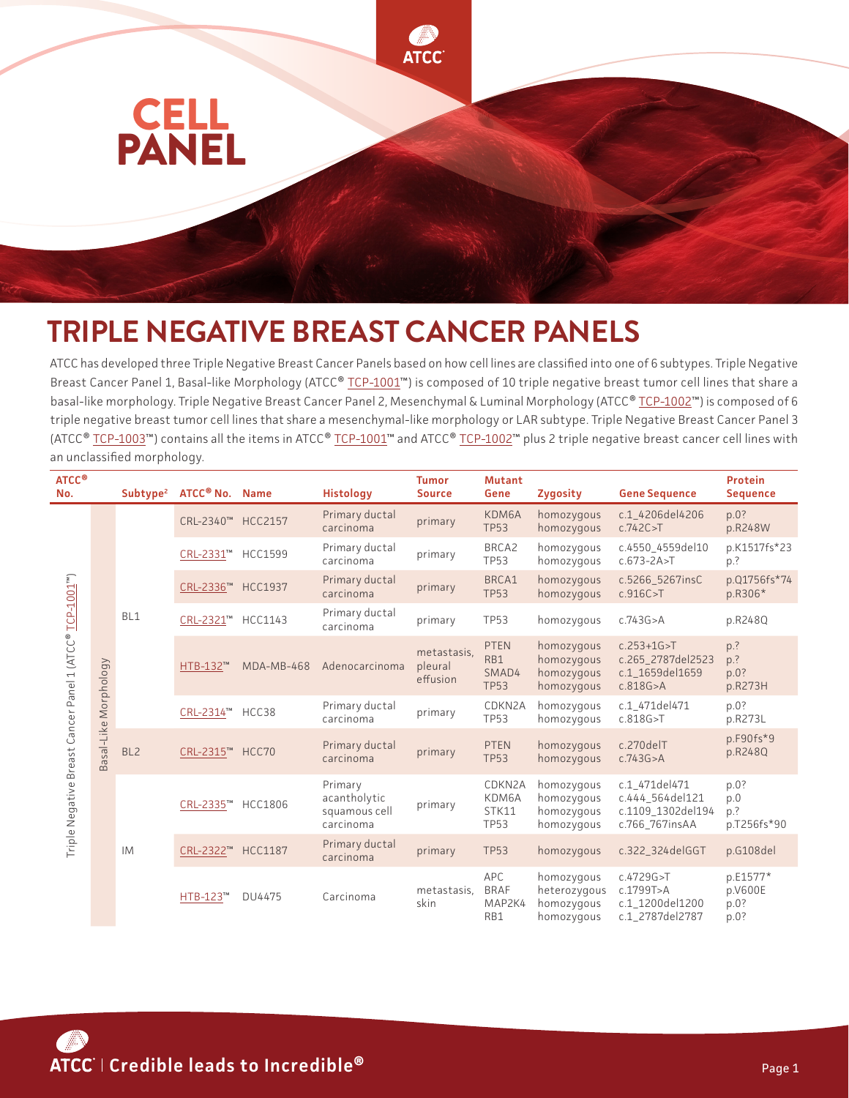

## **TRIPLE NEGATIVE BREAST CANCER PANELS**

ATCC has developed three Triple Negative Breast Cancer Panels based on how cell lines are classified into one of 6 subtypes. Triple Negative Breast Cancer Panel 1, Basal-like Morphology (ATCC® [TCP-1001™](https://www.atcc.org/products/tcp-1001)) is composed of 10 triple negative breast tumor cell lines that share a basal-like morphology. Triple Negative Breast Cancer Panel 2, Mesenchymal & Luminal Morphology (ATCC® [TCP-1002](https://www.atcc.org/products/tcp-1002)™) is composed of 6 triple negative breast tumor cell lines that share a mesenchymal-like morphology or LAR subtype. Triple Negative Breast Cancer Panel 3 (ATCC® [TCP-1003](https://www.atcc.org/products/tcp-1003)™) contains all the items in ATCC® [TCP-1001](https://www.atcc.org/products/tcp-1001)™ and ATCC® [TCP-1002™](https://www.atcc.org/products/tcp-1002) plus 2 triple negative breast cancer cell lines with an unclassified morphology.

| ATCC <sup>®</sup><br>No.                                |                       | Subtype <sup>2</sup> | ATCC <sup>®</sup> No. Name |                | <b>Histology</b>                                      | <b>Tumor</b><br><b>Source</b>      | <b>Mutant</b><br>Gene                      | <b>Zygosity</b>                                        | <b>Gene Sequence</b>                                                    | <b>Protein</b><br><b>Sequence</b>   |
|---------------------------------------------------------|-----------------------|----------------------|----------------------------|----------------|-------------------------------------------------------|------------------------------------|--------------------------------------------|--------------------------------------------------------|-------------------------------------------------------------------------|-------------------------------------|
| Triple Negative Breast Cancer Panel 1 (ATCC® TCP-1001") | Basal-Like Morphology | BL1                  | CRL-2340™ HCC2157          |                | Primary ductal<br>carcinoma                           | primary                            | KDM6A<br><b>TP53</b>                       | homozygous<br>homozygous                               | c.1 4206del4206<br>c.742C > T                                           | p.0?<br>p.R248W                     |
|                                                         |                       |                      | CRL-2331™                  | <b>HCC1599</b> | Primary ductal<br>carcinoma                           | primary                            | BRCA2<br><b>TP53</b>                       | homozygous<br>homozygous                               | c.4550_4559del10<br>$c.673 - 2A > T$                                    | p.K1517fs*23<br>p.?                 |
|                                                         |                       |                      | CRL-2336™ HCC1937          |                | Primary ductal<br>carcinoma                           | primary                            | BRCA1<br><b>TP53</b>                       | homozygous<br>homozygous                               | c.5266_5267insC<br>c.916C > T                                           | p.Q1756fs*74<br>p.R306*             |
|                                                         |                       |                      | CRL-2321™                  | HCC1143        | Primary ductal<br>carcinoma                           | primary                            | <b>TP53</b>                                | homozygous                                             | c.743G > A                                                              | p.R248Q                             |
|                                                         |                       |                      | HTB-132™                   | MDA-MB-468     | Adenocarcinoma                                        | metastasis.<br>pleural<br>effusion | <b>PTEN</b><br>RB1<br>SMAD4<br><b>TP53</b> | homozygous<br>homozygous<br>homozygous<br>homozygous   | $c.253 + 1G > T$<br>c.265_2787del2523<br>c.1 1659del1659<br>c.818G > A  | p.?<br>p.?<br>p.0?<br>p.R273H       |
|                                                         |                       |                      | CRL-2314™                  | HCC38          | Primary ductal<br>carcinoma                           | primary                            | CDKN2A<br><b>TP53</b>                      | homozygous<br>homozygous                               | c.1 471del471<br>c.818G > T                                             | p.0?<br>p.R273L                     |
|                                                         |                       | BL <sub>2</sub>      | CRL-2315™                  | HCC70          | Primary ductal<br>carcinoma                           | primary                            | <b>PTEN</b><br><b>TP53</b>                 | homozygous<br>homozygous                               | c.270delT<br>c.743G > A                                                 | $p.F90fs*9$<br>p.R248Q              |
|                                                         |                       | <b>IM</b>            | CRL-2335™                  | <b>HCC1806</b> | Primary<br>acantholytic<br>squamous cell<br>carcinoma | primary                            | CDKN2A<br>KDM6A<br>STK11<br><b>TP53</b>    | homozygous<br>homozygous<br>homozygous<br>homozygous   | c.1_471del471<br>c.444 564del121<br>c.1109 1302del194<br>c.766_767insAA | p.0?<br>p.0<br>p.?<br>p.T256fs*90   |
|                                                         |                       |                      | CRL-2322™                  | <b>HCC1187</b> | Primary ductal<br>carcinoma                           | primary                            | <b>TP53</b>                                | homozygous                                             | c.322_324delGGT                                                         | p.G108del                           |
|                                                         |                       |                      | HTB-123™                   | DU4475         | Carcinoma                                             | metastasis,<br>skin                | APC<br><b>BRAF</b><br>MAP2K4<br>RB1        | homozygous<br>heterozygous<br>homozygous<br>homozygous | c.4729G>T<br>c.1799T>A<br>c.1 1200del1200<br>c.1 2787del2787            | p.E1577*<br>p.V600E<br>p.0?<br>p.0? |